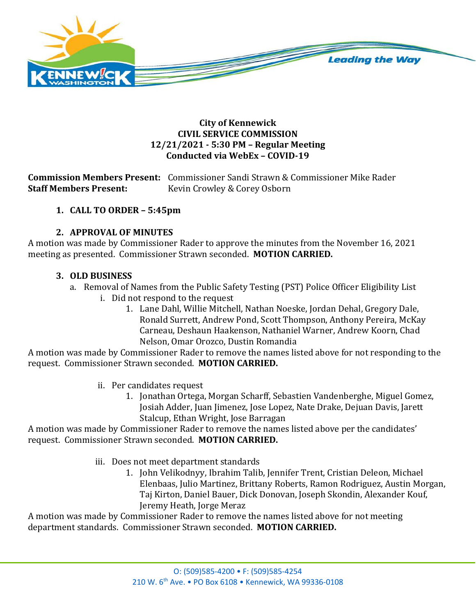

### **City of Kennewick CIVIL SERVICE COMMISSION 12/21/2021 - 5:30 PM – Regular Meeting Conducted via WebEx – COVID-19**

**Commission Members Present:** Commissioner Sandi Strawn & Commissioner Mike Rader Kevin Crowley & Corey Osborn

# **1. CALL TO ORDER – 5:45pm**

# **2. APPROVAL OF MINUTES**

A motion was made by Commissioner Rader to approve the minutes from the November 16, 2021 meeting as presented. Commissioner Strawn seconded. **MOTION CARRIED.**

## **3. OLD BUSINESS**

- a. Removal of Names from the Public Safety Testing (PST) Police Officer Eligibility List
	- i. Did not respond to the request
		- 1. Lane Dahl, Willie Mitchell, Nathan Noeske, Jordan Dehal, Gregory Dale, Ronald Surrett, Andrew Pond, Scott Thompson, Anthony Pereira, McKay Carneau, Deshaun Haakenson, Nathaniel Warner, Andrew Koorn, Chad Nelson, Omar Orozco, Dustin Romandia

A motion was made by Commissioner Rader to remove the names listed above for not responding to the request. Commissioner Strawn seconded. **MOTION CARRIED.**

- ii. Per candidates request
	- 1. Jonathan Ortega, Morgan Scharff, Sebastien Vandenberghe, Miguel Gomez, Josiah Adder, Juan Jimenez, Jose Lopez, Nate Drake, Dejuan Davis, Jarett Stalcup, Ethan Wright, Jose Barragan

A motion was made by Commissioner Rader to remove the names listed above per the candidates' request. Commissioner Strawn seconded. **MOTION CARRIED.**

iii. Does not meet department standards

1. John Velikodnyy, Ibrahim Talib, Jennifer Trent, Cristian Deleon, Michael Elenbaas, Julio Martinez, Brittany Roberts, Ramon Rodriguez, Austin Morgan, Taj Kirton, Daniel Bauer, Dick Donovan, Joseph Skondin, Alexander Kouf, Jeremy Heath, Jorge Meraz

A motion was made by Commissioner Rader to remove the names listed above for not meeting department standards. Commissioner Strawn seconded. **MOTION CARRIED.**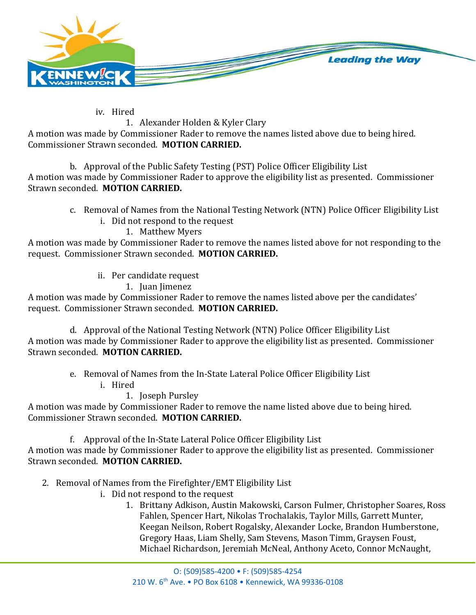

iv. Hired

# 1. Alexander Holden & Kyler Clary

A motion was made by Commissioner Rader to remove the names listed above due to being hired. Commissioner Strawn seconded. **MOTION CARRIED.**

b. Approval of the Public Safety Testing (PST) Police Officer Eligibility List A motion was made by Commissioner Rader to approve the eligibility list as presented. Commissioner Strawn seconded. **MOTION CARRIED.**

- c. Removal of Names from the National Testing Network (NTN) Police Officer Eligibility List
	- i. Did not respond to the request

1. Matthew Myers

A motion was made by Commissioner Rader to remove the names listed above for not responding to the request. Commissioner Strawn seconded. **MOTION CARRIED.**

- ii. Per candidate request
	- 1. Juan Jimenez

A motion was made by Commissioner Rader to remove the names listed above per the candidates' request. Commissioner Strawn seconded. **MOTION CARRIED.**

d. Approval of the National Testing Network (NTN) Police Officer Eligibility List A motion was made by Commissioner Rader to approve the eligibility list as presented. Commissioner Strawn seconded. **MOTION CARRIED.**

- e. Removal of Names from the In-State Lateral Police Officer Eligibility List
	- i. Hired
		- 1. Joseph Pursley

A motion was made by Commissioner Rader to remove the name listed above due to being hired. Commissioner Strawn seconded. **MOTION CARRIED.**

f. Approval of the In-State Lateral Police Officer Eligibility List

A motion was made by Commissioner Rader to approve the eligibility list as presented. Commissioner Strawn seconded. **MOTION CARRIED.**

- 2. Removal of Names from the Firefighter/EMT Eligibility List
	- i. Did not respond to the request
		- 1. Brittany Adkison, Austin Makowski, Carson Fulmer, Christopher Soares, Ross Fahlen, Spencer Hart, Nikolas Trochalakis, Taylor Mills, Garrett Munter, Keegan Neilson, Robert Rogalsky, Alexander Locke, Brandon Humberstone, Gregory Haas, Liam Shelly, Sam Stevens, Mason Timm, Graysen Foust, Michael Richardson, Jeremiah McNeal, Anthony Aceto, Connor McNaught,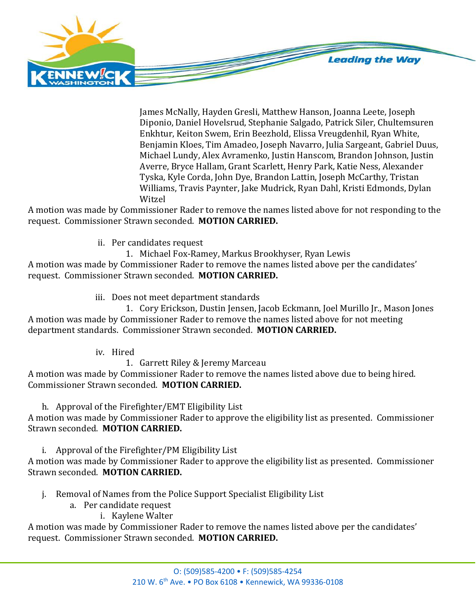

James McNally, Hayden Gresli, Matthew Hanson, Joanna Leete, Joseph Diponio, Daniel Hovelsrud, Stephanie Salgado, Patrick Siler, Chultemsuren Enkhtur, Keiton Swem, Erin Beezhold, Elissa Vreugdenhil, Ryan White, Benjamin Kloes, Tim Amadeo, Joseph Navarro, Julia Sargeant, Gabriel Duus, Michael Lundy, Alex Avramenko, Justin Hanscom, Brandon Johnson, Justin Averre, Bryce Hallam, Grant Scarlett, Henry Park, Katie Ness, Alexander Tyska, Kyle Corda, John Dye, Brandon Lattin, Joseph McCarthy, Tristan Williams, Travis Paynter, Jake Mudrick, Ryan Dahl, Kristi Edmonds, Dylan Witzel

A motion was made by Commissioner Rader to remove the names listed above for not responding to the request. Commissioner Strawn seconded. **MOTION CARRIED.**

ii. Per candidates request

1. Michael Fox-Ramey, Markus Brookhyser, Ryan Lewis

A motion was made by Commissioner Rader to remove the names listed above per the candidates' request. Commissioner Strawn seconded. **MOTION CARRIED.**

iii. Does not meet department standards

1. Cory Erickson, Dustin Jensen, Jacob Eckmann, Joel Murillo Jr., Mason Jones A motion was made by Commissioner Rader to remove the names listed above for not meeting department standards. Commissioner Strawn seconded. **MOTION CARRIED.**

iv. Hired

1. Garrett Riley & Jeremy Marceau

A motion was made by Commissioner Rader to remove the names listed above due to being hired. Commissioner Strawn seconded. **MOTION CARRIED.**

h. Approval of the Firefighter/EMT Eligibility List

A motion was made by Commissioner Rader to approve the eligibility list as presented. Commissioner Strawn seconded. **MOTION CARRIED.**

i. Approval of the Firefighter/PM Eligibility List

A motion was made by Commissioner Rader to approve the eligibility list as presented. Commissioner Strawn seconded. **MOTION CARRIED.**

- j. Removal of Names from the Police Support Specialist Eligibility List
	- a. Per candidate request
		- i. Kaylene Walter

A motion was made by Commissioner Rader to remove the names listed above per the candidates' request. Commissioner Strawn seconded. **MOTION CARRIED.**